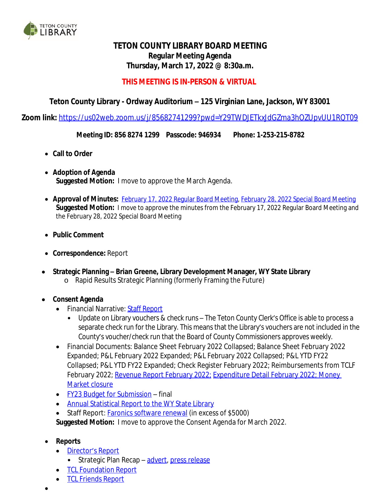

# **TETON COUNTY LIBRARY BOARD MEETING Regular Meeting Agenda Thursday, March 17, 2022 @ 8:30a.m.**

# **THIS MEETING IS IN-PERSON & VIRTUAL**

# **Teton County Library - Ordway Auditorium – 125 Virginian Lane, Jackson, WY 83001**

**Zoom link:** <https://us02web.zoom.us/j/85682741299?pwd=Y29TWDJETkxJdGZma3hOZUpvUU1RQT09>

**Meeting ID: 856 8274 1299 Passcode: 946934 Phone: 1-253-215-8782**

- **Call to Order**
- **Adoption of Agenda Suggested Motion:** I move to approve the March Agenda.
- **Approval of Minutes:** [February 17, 2022 Regular Board Meeting,](http://tclib.org/DocumentCenter/View/2734/TCL-Board-Meeting-Minutes-2172022) [February 28, 2022 Special Board Meeting](http://tclib.org/DocumentCenter/View/2738/TCL-Special-Board-Meeting-February-28-2022) **[Suggested](http://tclib.org/DocumentCenter/View/2738/TCL-Special-Board-Meeting-February-28-2022) [Motion:](http://tclib.org/DocumentCenter/View/2738/TCL-Special-Board-Meeting-February-28-2022)** [I](http://tclib.org/DocumentCenter/View/2738/TCL-Special-Board-Meeting-February-28-2022) [move](http://tclib.org/DocumentCenter/View/2738/TCL-Special-Board-Meeting-February-28-2022) [to](http://tclib.org/DocumentCenter/View/2738/TCL-Special-Board-Meeting-February-28-2022) [approve](http://tclib.org/DocumentCenter/View/2738/TCL-Special-Board-Meeting-February-28-2022) [the](http://tclib.org/DocumentCenter/View/2738/TCL-Special-Board-Meeting-February-28-2022) [minutes](http://tclib.org/DocumentCenter/View/2738/TCL-Special-Board-Meeting-February-28-2022) [from the](http://tclib.org/DocumentCenter/View/2738/TCL-Special-Board-Meeting-February-28-2022) [February 17, 2022 Regular Board Meeting and](http://tclib.org/DocumentCenter/View/2738/TCL-Special-Board-Meeting-February-28-2022) [the February 28, 2022 Special Board Meeting](http://tclib.org/DocumentCenter/View/2738/TCL-Special-Board-Meeting-February-28-2022)
- **[Public](http://tclib.org/DocumentCenter/View/2738/TCL-Special-Board-Meeting-February-28-2022) [Comment](http://tclib.org/DocumentCenter/View/2738/TCL-Special-Board-Meeting-February-28-2022)**
- **[Correspondence:](http://tclib.org/DocumentCenter/View/2738/TCL-Special-Board-Meeting-February-28-2022)** [Report](http://tclib.org/DocumentCenter/View/2738/TCL-Special-Board-Meeting-February-28-2022)
- **Strategic Planning – [Brian Greene, Library Development Manager, WY State Library](http://tclib.org/DocumentCenter/View/2738/TCL-Special-Board-Meeting-February-28-2022)** o [Rapid Results Strategic Planning \(formerly Framing the Future\)](http://tclib.org/DocumentCenter/View/2738/TCL-Special-Board-Meeting-February-28-2022)

#### **[Consent](http://tclib.org/DocumentCenter/View/2738/TCL-Special-Board-Meeting-February-28-2022) [Agenda](http://tclib.org/DocumentCenter/View/2738/TCL-Special-Board-Meeting-February-28-2022)**

- [Financial](http://tclib.org/DocumentCenter/View/2738/TCL-Special-Board-Meeting-February-28-2022) [Narrative:](http://tclib.org/DocumentCenter/View/2738/TCL-Special-Board-Meeting-February-28-2022) Staff [Report](https://wy-tetoncountylibrary.civicplus.com/DocumentCenter/View/2741/February-2022-Financial-Narrative)
	- Update on Library vouchers & check runs The Teton County Clerk's Office is able to process a separate check run for the Library. This means that the Library's vouchers are not included in the County's voucher/check run that the Board of County Commissioners approves weekly.
- Financial Documents: Balance Sheet February 2022 Collapsed; Balance Sheet February 2022 Expanded; P&L February 2022 Expanded; P&L February 2022 Collapsed; P&L YTD FY22 Collapsed; P&L YTD FY22 Expanded; Check Register February 2022; Reimbursements from TCLF February 2022; [Revenue Report February 2022;](https://wy-tetoncountylibrary.civicplus.com/DocumentCenter/View/2725/Revenue-report) [Expenditure Detail February 2022](https://wy-tetoncountylibrary.civicplus.com/DocumentCenter/View/2723/Expenditure-detail); Money Market closure
- [FY23 Budget for Submission](http://tclib.org/DocumentCenter/View/2729/FY23-Budget-for-Submission) final
- [Annual Statistical Report to the WY State Library](http://tclib.org/DocumentCenter/View/2730/FY21-Statistical-Report-to-WY-State-Library)
- Staff Report: [Faronics software renewal \(in excess of \\$5000\)](https://wy-tetoncountylibrary.civicplus.com/DocumentCenter/View/2724/Faronics-Renewal-2022)

**[Suggested](https://wy-tetoncountylibrary.civicplus.com/DocumentCenter/View/2724/Faronics-Renewal-2022) [Motion:](https://wy-tetoncountylibrary.civicplus.com/DocumentCenter/View/2724/Faronics-Renewal-2022)** [I](https://wy-tetoncountylibrary.civicplus.com/DocumentCenter/View/2724/Faronics-Renewal-2022) [move](https://wy-tetoncountylibrary.civicplus.com/DocumentCenter/View/2724/Faronics-Renewal-2022) [to](https://wy-tetoncountylibrary.civicplus.com/DocumentCenter/View/2724/Faronics-Renewal-2022) [approve](https://wy-tetoncountylibrary.civicplus.com/DocumentCenter/View/2724/Faronics-Renewal-2022) [the](https://wy-tetoncountylibrary.civicplus.com/DocumentCenter/View/2724/Faronics-Renewal-2022) [Consent](https://wy-tetoncountylibrary.civicplus.com/DocumentCenter/View/2724/Faronics-Renewal-2022) [Agenda](https://wy-tetoncountylibrary.civicplus.com/DocumentCenter/View/2724/Faronics-Renewal-2022) [for](https://wy-tetoncountylibrary.civicplus.com/DocumentCenter/View/2724/Faronics-Renewal-2022) [March](https://wy-tetoncountylibrary.civicplus.com/DocumentCenter/View/2724/Faronics-Renewal-2022) [2022.](https://wy-tetoncountylibrary.civicplus.com/DocumentCenter/View/2724/Faronics-Renewal-2022)

#### **[Reports](https://wy-tetoncountylibrary.civicplus.com/DocumentCenter/View/2724/Faronics-Renewal-2022)**

- [Director](http://tclib.org/DocumentCenter/View/2726/Staff-Report---Directors-Report-32022)'s [Report](http://tclib.org/DocumentCenter/View/2726/Staff-Report---Directors-Report-32022)
	- Strategic Plan Recap [advert](http://tclib.org/DocumentCenter/View/2733/Strat-Plan-Recap-Advert), [press release](https://wy-tetoncountylibrary.civicplus.com/DocumentCenter/View/2742/Strategic-Plan-recap-press-release)
- [TCL](http://tclib.org/DocumentCenter/View/2736/TCL-Foundation-Report-March-2022) [Foundation](http://tclib.org/DocumentCenter/View/2736/TCL-Foundation-Report-March-2022) [Report](http://tclib.org/DocumentCenter/View/2736/TCL-Foundation-Report-March-2022)
- **[TCL](http://tclib.org/DocumentCenter/View/2737/TCL-Friends-Report-March-2022) [Friends](http://tclib.org/DocumentCenter/View/2737/TCL-Friends-Report-March-2022) [Report](http://tclib.org/DocumentCenter/View/2737/TCL-Friends-Report-March-2022)**